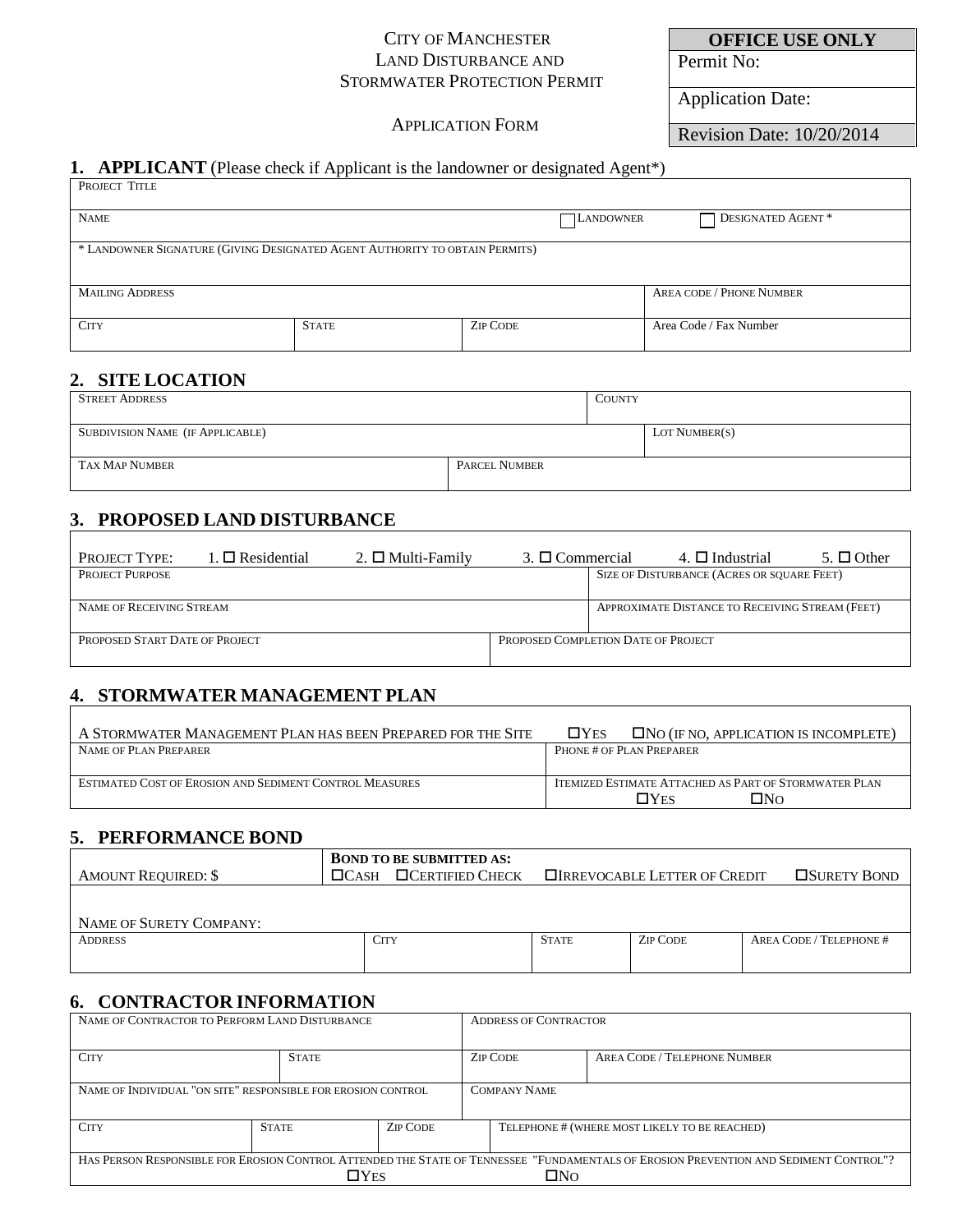#### CITY OF MANCHESTER LAND DISTURBANCE AND STORMWATER PROTECTION PERMIT

### APPLICATION FORM

Permit No:

Application Date:

Revision Date: 10/20/2014

**OFFICE USE ONLY**

### **1. APPLICANT** (Please check if Applicant is the landowner or designated Agent\*)

| PROJECT TITLE                                                               |              |                  |                                                |  |  |
|-----------------------------------------------------------------------------|--------------|------------------|------------------------------------------------|--|--|
| <b>NAME</b>                                                                 |              | <b>LANDOWNER</b> | DESIGNATED AGENT *<br>$\overline{\phantom{0}}$ |  |  |
| * LANDOWNER SIGNATURE (GIVING DESIGNATED AGENT AUTHORITY TO OBTAIN PERMITS) |              |                  |                                                |  |  |
| <b>MAILING ADDRESS</b>                                                      |              |                  | <b>AREA CODE / PHONE NUMBER</b>                |  |  |
| <b>CITY</b>                                                                 | <b>STATE</b> | <b>ZIP CODE</b>  | Area Code / Fax Number                         |  |  |

# **2. SITE LOCATION**

| <b>STREET ADDRESS</b>                   |                      | <b>COUNTY</b> |               |
|-----------------------------------------|----------------------|---------------|---------------|
|                                         |                      |               |               |
| <b>SUBDIVISION NAME (IF APPLICABLE)</b> |                      |               | LOT NUMBER(S) |
|                                         |                      |               |               |
| <b>TAX MAP NUMBER</b>                   | <b>PARCEL NUMBER</b> |               |               |
|                                         |                      |               |               |

# **3. PROPOSED LAND DISTURBANCE**

| <b>PROJECT TYPE:</b>           | $1. \Box$ Residential | 2. $\Box$ Multi-Family | 3. $\Box$ Commercial                | 4. $\Box$ Industrial                            | $5. \Box$ Other |
|--------------------------------|-----------------------|------------------------|-------------------------------------|-------------------------------------------------|-----------------|
| PROJECT PURPOSE                |                       |                        |                                     | SIZE OF DISTURBANCE (ACRES OR SQUARE FEET)      |                 |
|                                |                       |                        |                                     |                                                 |                 |
| NAME OF RECEIVING STREAM       |                       |                        |                                     | APPROXIMATE DISTANCE TO RECEIVING STREAM (FEET) |                 |
|                                |                       |                        |                                     |                                                 |                 |
| PROPOSED START DATE OF PROJECT |                       |                        | PROPOSED COMPLETION DATE OF PROJECT |                                                 |                 |
|                                |                       |                        |                                     |                                                 |                 |

# **4. STORMWATER MANAGEMENT PLAN**

| A STORMWATER MANAGEMENT PLAN HAS BEEN PREPARED FOR THE SITE    | $\square$ Yes<br>$\Box$ NO (IF NO, APPLICATION IS INCOMPLETE) |  |  |
|----------------------------------------------------------------|---------------------------------------------------------------|--|--|
| NAME OF PLAN PREPARER                                          | PHONE # OF PLAN PREPARER                                      |  |  |
|                                                                |                                                               |  |  |
| <b>ESTIMATED COST OF EROSION AND SEDIMENT CONTROL MEASURES</b> | ITEMIZED ESTIMATE ATTACHED AS PART OF STORMWATER PLAN         |  |  |
|                                                                | י∩ת⊡<br>∏Yes                                                  |  |  |

## **5. PERFORMANCE BOND**

| <b>AMOUNT REQUIRED: \$</b> | <b>BOND TO BE SUBMITTED AS:</b><br>$\Box$ Certified Check<br>$\Box$ CASH |              | <b>OIRREVOCABLE LETTER OF CREDIT</b> | <b>OSURETY BOND</b>     |
|----------------------------|--------------------------------------------------------------------------|--------------|--------------------------------------|-------------------------|
| NAME OF SURETY COMPANY:    |                                                                          |              |                                      |                         |
| <b>ADDRESS</b>             | <b>CITY</b>                                                              | <b>STATE</b> | <b>ZIP CODE</b>                      | AREA CODE / TELEPHONE # |

# **6. CONTRACTOR INFORMATION**

| NAME OF CONTRACTOR TO PERFORM LAND DISTURBANCE                                                                                        |                                 |                     | <b>ADDRESS OF CONTRACTOR</b> |                 |                                               |
|---------------------------------------------------------------------------------------------------------------------------------------|---------------------------------|---------------------|------------------------------|-----------------|-----------------------------------------------|
| <b>CITY</b>                                                                                                                           | <b>STATE</b>                    |                     |                              | <b>ZIP CODE</b> | AREA CODE / TELEPHONE NUMBER                  |
| NAME OF INDIVIDUAL "ON SITE" RESPONSIBLE FOR EROSION CONTROL.                                                                         |                                 | <b>COMPANY NAME</b> |                              |                 |                                               |
| <b>CITY</b>                                                                                                                           | <b>ZIP CODE</b><br><b>STATE</b> |                     |                              |                 | TELEPHONE # (WHERE MOST LIKELY TO BE REACHED) |
| HAS PERSON RESPONSIBLE FOR EROSION CONTROL ATTENDED THE STATE OF TENNESSEE "FUNDAMENTALS OF EROSION PREVENTION AND SEDIMENT CONTROL"? |                                 |                     |                              |                 |                                               |
| $\Box$ Yes                                                                                                                            |                                 |                     |                              | ΠNΩ             |                                               |